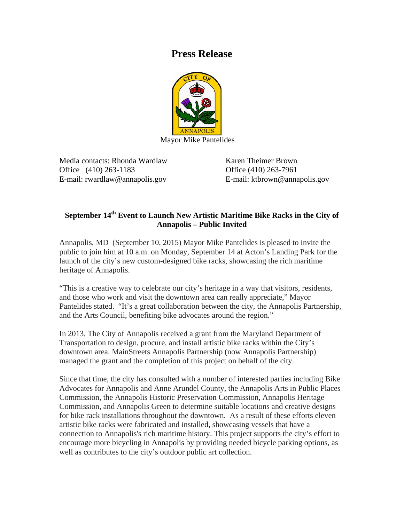## **Press Release**



Mayor Mike Pantelides

Media contacts: Rhonda Wardlaw Karen Theimer Brown Office (410) 263-1183 Office (410) 263-7961 E-mail: rwardlaw@annapolis.gov E-mail: ktbrown@annapolis.gov

## September 14<sup>th</sup> Event to Launch New Artistic Maritime Bike Racks in the City of **Annapolis – Public Invited**

Annapolis, MD (September 10, 2015) Mayor Mike Pantelides is pleased to invite the public to join him at 10 a.m. on Monday, September 14 at Acton's Landing Park for the launch of the city's new custom-designed bike racks, showcasing the rich maritime heritage of Annapolis.

"This is a creative way to celebrate our city's heritage in a way that visitors, residents, and those who work and visit the downtown area can really appreciate," Mayor Pantelides stated. "It's a great collaboration between the city, the Annapolis Partnership, and the Arts Council, benefiting bike advocates around the region."

In 2013, The City of Annapolis received a grant from the Maryland Department of Transportation to design, procure, and install artistic bike racks within the City's downtown area. MainStreets Annapolis Partnership (now Annapolis Partnership) managed the grant and the completion of this project on behalf of the city.

Since that time, the city has consulted with a number of interested parties including Bike Advocates for Annapolis and Anne Arundel County, the Annapolis Arts in Public Places Commission, the Annapolis Historic Preservation Commission, Annapolis Heritage Commission, and Annapolis Green to determine suitable locations and creative designs for bike rack installations throughout the downtown. As a result of these efforts eleven artistic bike racks were fabricated and installed, showcasing vessels that have a connection to Annapolis's rich maritime history. This project supports the city's effort to encourage more bicycling in Annapolis by providing needed bicycle parking options, as well as contributes to the city's outdoor public art collection.